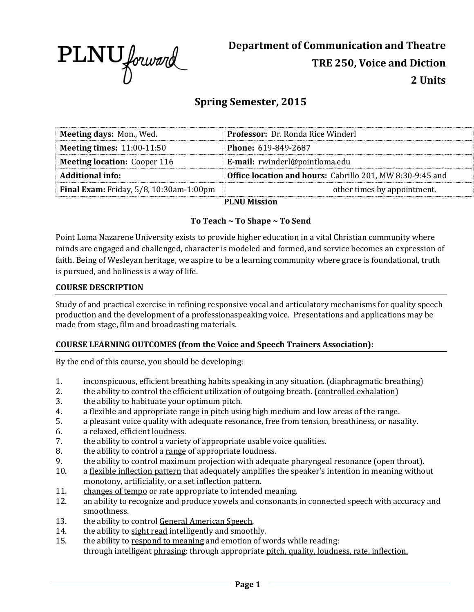

# **Spring Semester, 2015**

| <b>Meeting days: Mon., Wed.</b>                | <b>Professor:</b> Dr. Ronda Rice Winderl                  |  |
|------------------------------------------------|-----------------------------------------------------------|--|
| <b>Meeting times: 11:00-11:50</b>              | <b>Phone: 619-849-2687</b>                                |  |
| <b>Meeting location: Cooper 116</b>            | E-mail: rwinderl@pointloma.edu                            |  |
| <b>Additional info:</b>                        | Office location and hours: Cabrillo 201, MW 8:30-9:45 and |  |
| <b>Final Exam:</b> Friday, 5/8, 10:30am-1:00pm | other times by appointment.                               |  |
|                                                | DI MII Mission                                            |  |

**PLNU Mission**

# **To Teach ~ To Shape ~ To Send**

Point Loma Nazarene University exists to provide higher education in a vital Christian community where minds are engaged and challenged, character is modeled and formed, and service becomes an expression of faith. Being of Wesleyan heritage, we aspire to be a learning community where grace is foundational, truth is pursued, and holiness is a way of life.

# **COURSE DESCRIPTION**

Study of and practical exercise in refining responsive vocal and articulatory mechanisms for quality speech production and the development of a professionaspeaking voice. Presentations and applications may be made from stage, film and broadcasting materials.

# **COURSE LEARNING OUTCOMES (from the Voice and Speech Trainers Association):**

By the end of this course, you should be developing:

- 1. inconspicuous, efficient breathing habits speaking in any situation. (diaphragmatic breathing)
- 2. the ability to control the efficient utilization of outgoing breath. (controlled exhalation)
- 3. the ability to habituate your optimum pitch.
- 4. a flexible and appropriate range in pitch using high medium and low areas of the range.
- 5. a pleasant voice quality with adequate resonance, free from tension, breathiness, or nasality.
- 6. a relaxed, efficient loudness.
- 7. the ability to control a variety of appropriate usable voice qualities.
- 8. the ability to control a range of appropriate loudness.
- 9. the ability to control maximum projection with adequate pharyngeal resonance (open throat).
- 10. a flexible inflection pattern that adequately amplifies the speaker's intention in meaning without monotony, artificiality, or a set inflection pattern.
- 11. changes of tempo or rate appropriate to intended meaning.
- 12. an ability to recognize and produce vowels and consonants in connected speech with accuracy and smoothness.
- 13. the ability to control General American Speech.
- 14. the ability to sight read intelligently and smoothly.
- 15. the ability to respond to meaning and emotion of words while reading: through intelligent phrasing: through appropriate pitch, quality, loudness, rate, inflection.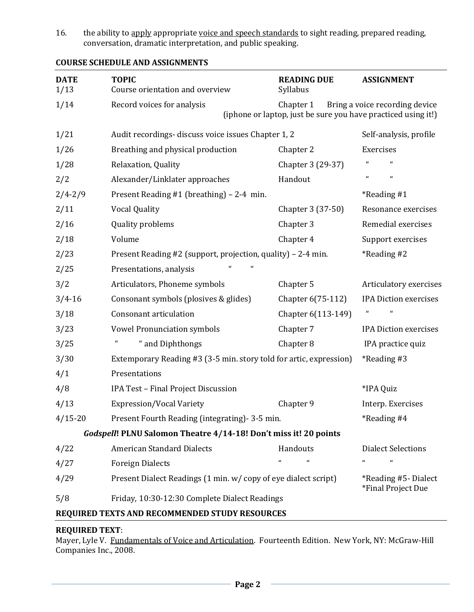16. the ability to apply appropriate voice and speech standards to sight reading, prepared reading, conversation, dramatic interpretation, and public speaking.

| <b>DATE</b><br>1/13                                              | <b>TOPIC</b><br>Course orientation and overview                                                                                            | <b>READING DUE</b><br>Syllabus | <b>ASSIGNMENT</b>                           |  |  |
|------------------------------------------------------------------|--------------------------------------------------------------------------------------------------------------------------------------------|--------------------------------|---------------------------------------------|--|--|
| 1/14                                                             | Record voices for analysis<br>Chapter 1<br>Bring a voice recording device<br>(iphone or laptop, just be sure you have practiced using it!) |                                |                                             |  |  |
| 1/21                                                             | Audit recordings-discuss voice issues Chapter 1, 2                                                                                         |                                | Self-analysis, profile                      |  |  |
| 1/26                                                             | Breathing and physical production                                                                                                          | Chapter 2                      | Exercises                                   |  |  |
| 1/28                                                             | Relaxation, Quality                                                                                                                        | Chapter 3 (29-37)              | $\pmb{\epsilon}$<br>$\pmb{\mathcal{U}}$     |  |  |
| 2/2                                                              | Alexander/Linklater approaches                                                                                                             | Handout                        | $\pmb{\mathcal{U}}$<br>$\pmb{\mathfrak{a}}$ |  |  |
| $2/4 - 2/9$                                                      | Present Reading #1 (breathing) - 2-4 min.                                                                                                  |                                | *Reading#1                                  |  |  |
| 2/11                                                             | <b>Vocal Quality</b>                                                                                                                       | Chapter 3 (37-50)              | Resonance exercises                         |  |  |
| 2/16                                                             | Quality problems                                                                                                                           | Chapter 3                      | Remedial exercises                          |  |  |
| 2/18                                                             | Volume                                                                                                                                     | Chapter 4                      | Support exercises                           |  |  |
| 2/23                                                             | Present Reading #2 (support, projection, quality) - 2-4 min.                                                                               |                                | *Reading #2                                 |  |  |
| 2/25                                                             | $\mathbf{u}$<br>Presentations, analysis                                                                                                    |                                |                                             |  |  |
| 3/2                                                              | Articulators, Phoneme symbols                                                                                                              | Chapter 5                      | Articulatory exercises                      |  |  |
| $3/4 - 16$                                                       | Consonant symbols (plosives & glides)                                                                                                      | Chapter 6(75-112)              | <b>IPA Diction exercises</b>                |  |  |
| 3/18                                                             | Consonant articulation                                                                                                                     | Chapter 6(113-149)             | $\boldsymbol{a}$<br>$\epsilon$              |  |  |
| 3/23                                                             | <b>Vowel Pronunciation symbols</b>                                                                                                         | Chapter 7                      | <b>IPA Diction exercises</b>                |  |  |
| 3/25                                                             | " and Diphthongs                                                                                                                           | Chapter 8                      | IPA practice quiz                           |  |  |
| 3/30                                                             | Extemporary Reading #3 (3-5 min. story told for artic, expression)                                                                         |                                | <i>*</i> Reading #3                         |  |  |
| 4/1                                                              | Presentations                                                                                                                              |                                |                                             |  |  |
| 4/8                                                              | IPA Test - Final Project Discussion                                                                                                        |                                | *IPA Quiz                                   |  |  |
| 4/13                                                             | <b>Expression/Vocal Variety</b>                                                                                                            | Chapter 9                      | Interp. Exercises                           |  |  |
| $4/15 - 20$                                                      | Present Fourth Reading (integrating) - 3-5 min.                                                                                            |                                | *Reading#4                                  |  |  |
| Godspell! PLNU Salomon Theatre 4/14-18! Don't miss it! 20 points |                                                                                                                                            |                                |                                             |  |  |
| 4/22                                                             | <b>American Standard Dialects</b>                                                                                                          | Handouts                       | <b>Dialect Selections</b>                   |  |  |
| 4/27                                                             | <b>Foreign Dialects</b>                                                                                                                    | $\pmb{\mathcal{U}}$            | $\pmb{\mathcal{U}}$<br>$\mathcal{U}$        |  |  |
| 4/29                                                             | Present Dialect Readings (1 min. w/ copy of eye dialect script)                                                                            |                                | *Reading #5-Dialect<br>*Final Project Due   |  |  |
| 5/8                                                              | Friday, 10:30-12:30 Complete Dialect Readings                                                                                              |                                |                                             |  |  |
| REQUIRED TEXTS AND RECOMMENDED STUDY RESOURCES                   |                                                                                                                                            |                                |                                             |  |  |

# **COURSE SCHEDULE AND ASSIGNMENTS**

# **REQUIRED TEXT**:

Mayer, Lyle V. Fundamentals of Voice and Articulation. Fourteenth Edition. New York, NY: McGraw-Hill Companies Inc., 2008.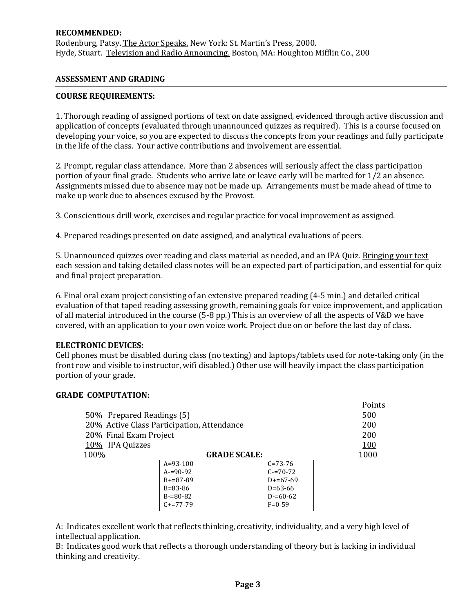### **RECOMMENDED:**

Rodenburg, Patsy. The Actor Speaks. New York: St. Martin's Press, 2000*.* Hyde, Stuart. Television and Radio Announcing. Boston, MA: Houghton Mifflin Co., 200

### **ASSESSMENT AND GRADING**

### **COURSE REQUIREMENTS:**

1. Thorough reading of assigned portions of text on date assigned, evidenced through active discussion and application of concepts (evaluated through unannounced quizzes as required). This is a course focused on developing your voice, so you are expected to discuss the concepts from your readings and fully participate in the life of the class. Your active contributions and involvement are essential.

2. Prompt, regular class attendance. More than 2 absences will seriously affect the class participation portion of your final grade. Students who arrive late or leave early will be marked for 1/2 an absence. Assignments missed due to absence may not be made up. Arrangements must be made ahead of time to make up work due to absences excused by the Provost.

3. Conscientious drill work, exercises and regular practice for vocal improvement as assigned.

4. Prepared readings presented on date assigned, and analytical evaluations of peers.

5. Unannounced quizzes over reading and class material as needed, and an IPA Quiz. Bringing your text each session and taking detailed class notes will be an expected part of participation, and essential for quiz and final project preparation.

6. Final oral exam project consisting of an extensive prepared reading (4-5 min.) and detailed critical evaluation of that taped reading assessing growth, remaining goals for voice improvement, and application of all material introduced in the course (5-8 pp.) This is an overview of all the aspects of V&D we have covered, with an application to your own voice work. Project due on or before the last day of class.

#### **ELECTRONIC DEVICES:**

Cell phones must be disabled during class (no texting) and laptops/tablets used for note-taking only (in the front row and visible to instructor, wifi disabled.) Other use will heavily impact the class participation portion of your grade.

Points

#### **GRADE COMPUTATION:**

|                                            |               |               | POINTS     |
|--------------------------------------------|---------------|---------------|------------|
| 50\% Prepared Readings (5)                 | 500           |               |            |
| 20% Active Class Participation, Attendance | 200           |               |            |
| 20% Final Exam Project                     | 200           |               |            |
| 10% IPA Quizzes                            |               |               | <u>100</u> |
| 100%<br><b>GRADE SCALE:</b>                |               |               | 1000       |
|                                            | $A=93-100$    | $C = 73 - 76$ |            |
|                                            | $A = 90 - 92$ | $C = 70 - 72$ |            |
|                                            | $B = 87 - 89$ | $D+=67-69$    |            |
|                                            | $B = 83 - 86$ | $D=63-66$     |            |
|                                            | $B = 80 - 82$ | $D = 60 - 62$ |            |
|                                            | $C+=77-79$    | $F = 0 - 59$  |            |
|                                            |               |               |            |

A: Indicates excellent work that reflects thinking, creativity, individuality, and a very high level of intellectual application.

B: Indicates good work that reflects a thorough understanding of theory but is lacking in individual thinking and creativity.